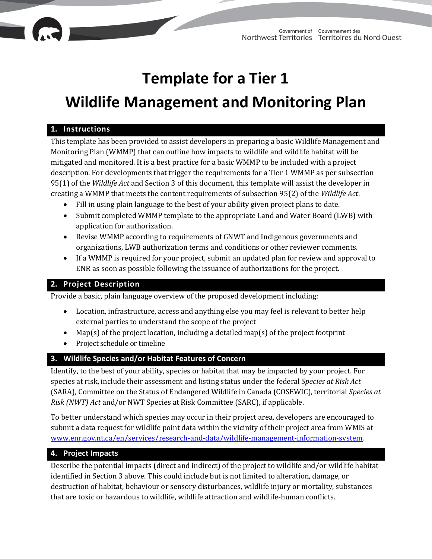## **Template for a Tier 1**

# **Wildlife Management and Monitoring Plan**

#### **1. Instructions**

This template has been provided to assist developers in preparing a basic Wildlife Management and Monitoring Plan (WMMP) that can outline how impacts to wildlife and wildlife habitat will be mitigated and monitored. It is a best practice for a basic WMMP to be included with a project description. For developments that trigger the requirements for a Tier 1 WMMP as per subsection 95(1) of the *Wildlife Act* and Section 3 of this document, this template will assist the developer in creating a WMMP that meets the content requirements of subsection 95(2) of the *Wildlife Act*.

- Fill in using plain language to the best of your ability given project plans to date.
- Submit completed WMMP template to the appropriate Land and Water Board (LWB) with application for authorization.
- Revise WMMP according to requirements of GNWT and Indigenous governments and organizations, LWB authorization terms and conditions or other reviewer comments.
- If a WMMP is required for your project, submit an updated plan for review and approval to ENR as soon as possible following the issuance of authorizations for the project.

### **2. Project Description**

Provide a basic, plain language overview of the proposed development including:

- Location, infrastructure, access and anything else you may feel is relevant to better help external parties to understand the scope of the project
- Map(s) of the project location, including a detailed map(s) of the project footprint
- Project schedule or timeline

#### **3. Wildlife Species and/or Habitat Features of Concern**

Identify, to the best of your ability, species or habitat that may be impacted by your project. For species at risk, include their assessment and listing status under the federal *Species at Risk Act* (SARA), Committee on the Status of Endangered Wildlife in Canada (COSEWIC), territorial *Species at Risk (NWT) Act* and/or NWT Species at Risk Committee (SARC), if applicable.

To better understand which species may occur in their project area, developers are encouraged to submit a data request for wildlife point data within the vicinity of their project area from WMIS at www.enr.gov.nt.ca/en/services/research-and-data/wildlife-management-information-system.

#### **4. Project Impacts**

Describe the potential impacts (direct and indirect) of the project to wildlife and/or wildlife habitat identified in Section 3 above. This could include but is not limited to alteration, damage, or destruction of habitat, behaviour or sensory disturbances, wildlife injury or mortality, substances that are toxic or hazardous to wildlife, wildlife attraction and wildlife-human conflicts.